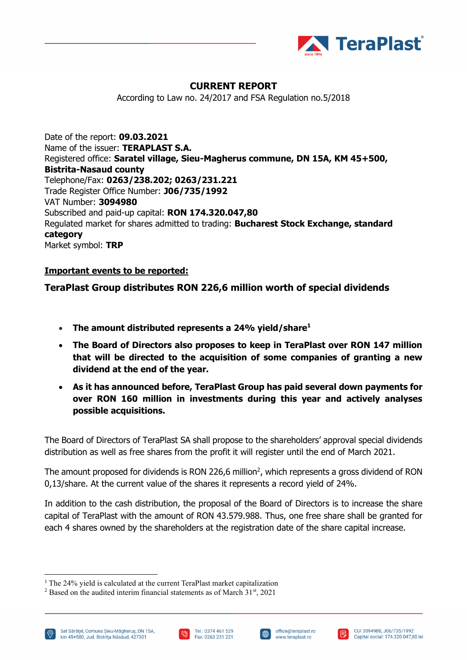

## **CURRENT REPORT**

According to Law no. 24/2017 and FSA Regulation no.5/2018

Date of the report: **09.03.2021** Name of the issuer: **TERAPLAST S.A.** Registered office: **Saratel village, Sieu-Magherus commune, DN 15A, KM 45+500, Bistrita-Nasaud county** Telephone/Fax: **0263/238.202; 0263/231.221** Trade Register Office Number: **J06/735/1992** VAT Number: **3094980** Subscribed and paid-up capital: **RON 174.320.047,80** Regulated market for shares admitted to trading: **Bucharest Stock Exchange, standard category** Market symbol: **TRP**

## **Important events to be reported:**

## **TeraPlast Group distributes RON 226,6 million worth of special dividends**

- **The amount distributed represents a 24% yield/share<sup>1</sup>**
- **The Board of Directors also proposes to keep in TeraPlast over RON 147 million that will be directed to the acquisition of some companies of granting a new dividend at the end of the year.**
- **As it has announced before, TeraPlast Group has paid several down payments for over RON 160 million in investments during this year and actively analyses possible acquisitions.**

The Board of Directors of TeraPlast SA shall propose to the shareholders' approval special dividends distribution as well as free shares from the profit it will register until the end of March 2021.

The amount proposed for dividends is RON 226,6 million<sup>2</sup>, which represents a gross dividend of RON 0,13/share. At the current value of the shares it represents a record yield of 24%.

In addition to the cash distribution, the proposal of the Board of Directors is to increase the share capital of TeraPlast with the amount of RON 43.579.988. Thus, one free share shall be granted for each 4 shares owned by the shareholders at the registration date of the share capital increase.

Sat Sărățel, Comuna Șieu-Măgheruș, DN 15A, km 45+500, Jud. Bistrita Năsăud, 427301







<sup>&</sup>lt;sup>1</sup> The 24% yield is calculated at the current TeraPlast market capitalization

 $2$  Based on the audited interim financial statements as of March  $31<sup>st</sup>$ , 2021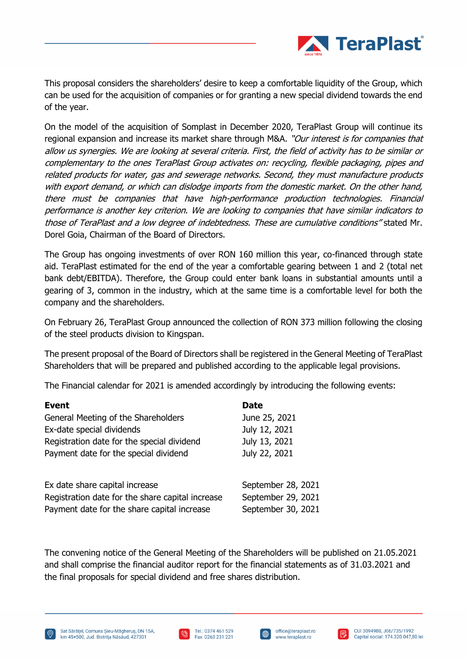

This proposal considers the shareholders' desire to keep a comfortable liquidity of the Group, which can be used for the acquisition of companies or for granting a new special dividend towards the end of the year.

On the model of the acquisition of Somplast in December 2020, TeraPlast Group will continue its regional expansion and increase its market share through M&A. "Our interest is for companies that allow us synergies. We are looking at several criteria. First, the field of activity has to be similar or complementary to the ones TeraPlast Group activates on: recycling, flexible packaging, pipes and related products for water, gas and sewerage networks. Second, they must manufacture products with export demand, or which can dislodge imports from the domestic market. On the other hand, there must be companies that have high-performance production technologies. Financial performance is another key criterion. We are looking to companies that have similar indicators to those of TeraPlast and a low degree of indebtedness. These are cumulative conditions" stated Mr. Dorel Goia, Chairman of the Board of Directors.

The Group has ongoing investments of over RON 160 million this year, co-financed through state aid. TeraPlast estimated for the end of the year a comfortable gearing between 1 and 2 (total net bank debt/EBITDA). Therefore, the Group could enter bank loans in substantial amounts until a gearing of 3, common in the industry, which at the same time is a comfortable level for both the company and the shareholders.

On February 26, TeraPlast Group announced the collection of RON 373 million following the closing of the steel products division to Kingspan.

The present proposal of the Board of Directors shall be registered in the General Meeting of TeraPlast Shareholders that will be prepared and published according to the applicable legal provisions.

The Financial calendar for 2021 is amended accordingly by introducing the following events:

| <b>Event</b>                                                                                                                      | <b>Date</b>                                                    |
|-----------------------------------------------------------------------------------------------------------------------------------|----------------------------------------------------------------|
| General Meeting of the Shareholders                                                                                               | June 25, 2021                                                  |
| Ex-date special dividends                                                                                                         | July 12, 2021                                                  |
| Registration date for the special dividend                                                                                        | July 13, 2021                                                  |
| Payment date for the special dividend                                                                                             | July 22, 2021                                                  |
| Ex date share capital increase<br>Registration date for the share capital increase<br>Payment date for the share capital increase | September 28, 2021<br>September 29, 2021<br>September 30, 2021 |

The convening notice of the General Meeting of the Shareholders will be published on 21.05.2021 and shall comprise the financial auditor report for the financial statements as of 31.03.2021 and the final proposals for special dividend and free shares distribution.



∰